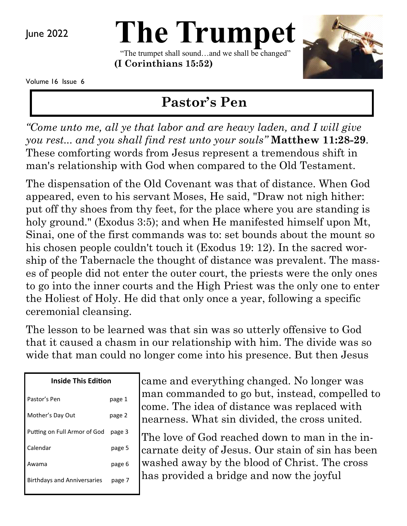June 2022

# **The Trumpet**

"The trumpet shall sound…and we shall be changed" **(I Corinthians 15:52)** 



Volume 16 Issue 6

# **Pastor's Pen**

*"Come unto me, all ye that labor and are heavy laden, and I will give you rest... and you shall find rest unto your souls"* **Matthew 11:28-29**. These comforting words from Jesus represent a tremendous shift in man's relationship with God when compared to the Old Testament.

The dispensation of the Old Covenant was that of distance. When God appeared, even to his servant Moses, He said, "Draw not nigh hither: put off thy shoes from thy feet, for the place where you are standing is holy ground." (Exodus 3:5); and when He manifested himself upon Mt, Sinai, one of the first commands was to: set bounds about the mount so his chosen people couldn't touch it (Exodus 19: 12). In the sacred worship of the Tabernacle the thought of distance was prevalent. The masses of people did not enter the outer court, the priests were the only ones to go into the inner courts and the High Priest was the only one to enter the Holiest of Holy. He did that only once a year, following a specific ceremonial cleansing.

The lesson to be learned was that sin was so utterly offensive to God that it caused a chasm in our relationship with him. The divide was so wide that man could no longer come into his presence. But then Jesus

| Inside This Edition                |        |
|------------------------------------|--------|
| Pastor's Pen                       | page 1 |
| Mother's Day Out                   | page 2 |
| Putting on Full Armor of God       | page 3 |
| Calendar                           | page 5 |
| Awama                              | page 6 |
| <b>Birthdays and Anniversaries</b> | page 7 |
|                                    |        |

came and everything changed. No longer was man commanded to go but, instead, compelled to come. The idea of distance was replaced with nearness. What sin divided, the cross united.

The love of God reached down to man in the incarnate deity of Jesus. Our stain of sin has been washed away by the blood of Christ. The cross has provided a bridge and now the joyful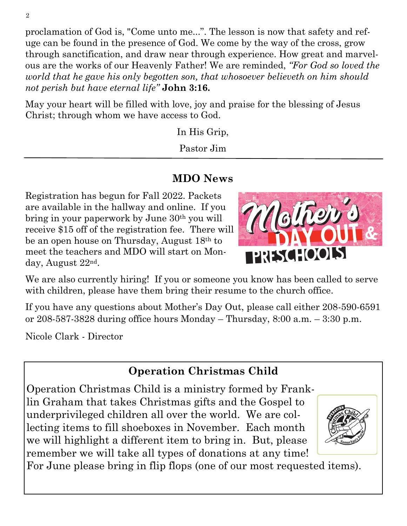proclamation of God is, "Come unto me...". The lesson is now that safety and refuge can be found in the presence of God. We come by the way of the cross, grow through sanctification, and draw near through experience. How great and marvelous are the works of our Heavenly Father! We are reminded, *"For God so loved the world that he gave his only begotten son, that whosoever believeth on him should not perish but have eternal life"* **John 3:16.**

May your heart will be filled with love, joy and praise for the blessing of Jesus Christ; through whom we have access to God.

In His Grip,

Pastor Jim

## **MDO News**

Registration has begun for Fall 2022. Packets are available in the hallway and online. If you bring in your paperwork by June 30th you will receive \$15 off of the registration fee. There will be an open house on Thursday, August 18th to meet the teachers and MDO will start on Monday, August 22nd.

We are also currently hiring! If you or someone you know has been called to serve with children, please have them bring their resume to the church office.

If you have any questions about Mother's Day Out, please call either 208-590-6591 or 208-587-3828 during office hours Monday – Thursday, 8:00 a.m. – 3:30 p.m.

Nicole Clark - Director

## **Operation Christmas Child**

Operation Christmas Child is a ministry formed by Franklin Graham that takes Christmas gifts and the Gospel to underprivileged children all over the world. We are collecting items to fill shoeboxes in November. Each month we will highlight a different item to bring in. But, please remember we will take all types of donations at any time!



For June please bring in flip flops (one of our most requested items).

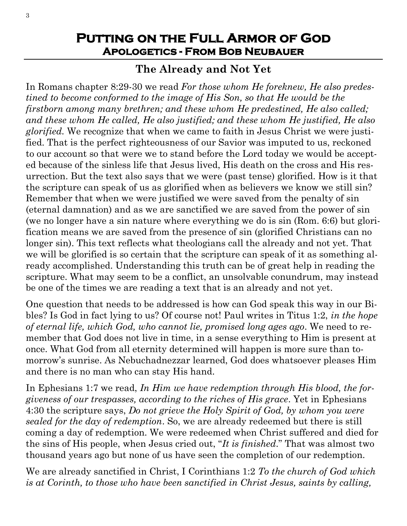## **Putting on the Full Armor of God Apologetics - From Bob Neubauer**

## **The Already and Not Yet**

In Romans chapter 8:29-30 we read *For those whom He foreknew, He also predestined to become conformed to the image of His Son, so that He would be the firstborn among many brethren; and these whom He predestined, He also called; and these whom He called, He also justified; and these whom He justified, He also glorified.* We recognize that when we came to faith in Jesus Christ we were justified. That is the perfect righteousness of our Savior was imputed to us, reckoned to our account so that were we to stand before the Lord today we would be accepted because of the sinless life that Jesus lived, His death on the cross and His resurrection. But the text also says that we were (past tense) glorified. How is it that the scripture can speak of us as glorified when as believers we know we still sin? Remember that when we were justified we were saved from the penalty of sin (eternal damnation) and as we are sanctified we are saved from the power of sin (we no longer have a sin nature where everything we do is sin (Rom. 6:6) but glorification means we are saved from the presence of sin (glorified Christians can no longer sin). This text reflects what theologians call the already and not yet. That we will be glorified is so certain that the scripture can speak of it as something already accomplished. Understanding this truth can be of great help in reading the scripture. What may seem to be a conflict, an unsolvable conundrum, may instead be one of the times we are reading a text that is an already and not yet.

One question that needs to be addressed is how can God speak this way in our Bibles? Is God in fact lying to us? Of course not! Paul writes in Titus 1:2, *in the hope of eternal life, which God, who cannot lie, promised long ages ago*. We need to remember that God does not live in time, in a sense everything to Him is present at once. What God from all eternity determined will happen is more sure than tomorrow's sunrise. As Nebuchadnezzar learned, God does whatsoever pleases Him and there is no man who can stay His hand.

In Ephesians 1:7 we read, *In Him we have redemption through His blood, the forgiveness of our trespasses, according to the riches of His grace*. Yet in Ephesians 4:30 the scripture says, *Do not grieve the Holy Spirit of God, by whom you were sealed for the day of redemption*. So, we are already redeemed but there is still coming a day of redemption. We were redeemed when Christ suffered and died for the sins of His people, when Jesus cried out, "*It is finished*." That was almost two thousand years ago but none of us have seen the completion of our redemption.

We are already sanctified in Christ, I Corinthians 1:2 *To the church of God which is at Corinth, to those who have been sanctified in Christ Jesus, saints by calling,*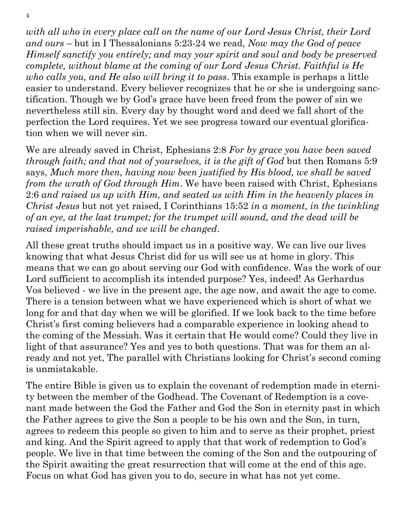*with all who in every place call on the name of our Lord Jesus Christ, their Lord and ours* – but in I Thessalonians 5:23-24 we read, *Now may the God of peace Himself sanctify you entirely; and may your spirit and soul and body be preserved complete, without blame at the coming of our Lord Jesus Christ. Faithful is He who calls you, and He also will bring it to pass*. This example is perhaps a little easier to understand. Every believer recognizes that he or she is undergoing sanctification. Though we by God's grace have been freed from the power of sin we nevertheless still sin. Every day by thought word and deed we fall short of the perfection the Lord requires. Yet we see progress toward our eventual glorification when we will never sin.

We are already saved in Christ, Ephesians 2:8 *For by grace you have been saved through faith; and that not of yourselves, it is the gift of God but then Romans 5:9* says, *Much more then, having now been justified by His blood, we shall be saved from the wrath of God through Him*. We have been raised with Christ, Ephesians 2:6 *and raised us up with Him, and seated us with Him in the heavenly places in Christ Jesus* but not yet raised, I Corinthians 15:52 *in a moment, in the twinkling of an eye, at the last trumpet; for the trumpet will sound, and the dead will be raised imperishable, and we will be changed*.

All these great truths should impact us in a positive way. We can live our lives knowing that what Jesus Christ did for us will see us at home in glory. This means that we can go about serving our God with confidence. Was the work of our Lord sufficient to accomplish its intended purpose? Yes, indeed! As Gerhardus Vos believed - we live in the present age, the age now, and await the age to come. There is a tension between what we have experienced which is short of what we long for and that day when we will be glorified. If we look back to the time before Christ's first coming believers had a comparable experience in looking ahead to the coming of the Messiah. Was it certain that He would come? Could they live in light of that assurance? Yes and yes to both questions. That was for them an already and not yet, The parallel with Christians looking for Christ's second coming is unmistakable.

The entire Bible is given us to explain the covenant of redemption made in eternity between the member of the Godhead. The Covenant of Redemption is a covenant made between the God the Father and God the Son in eternity past in which the Father agrees to give the Son a people to be his own and the Son, in turn, agrees to redeem this people so given to him and to serve as their prophet, priest and king. And the Spirit agreed to apply that that work of redemption to God's people. We live in that time between the coming of the Son and the outpouring of the Spirit awaiting the great resurrection that will come at the end of this age. Focus on what God has given you to do, secure in what has not yet come.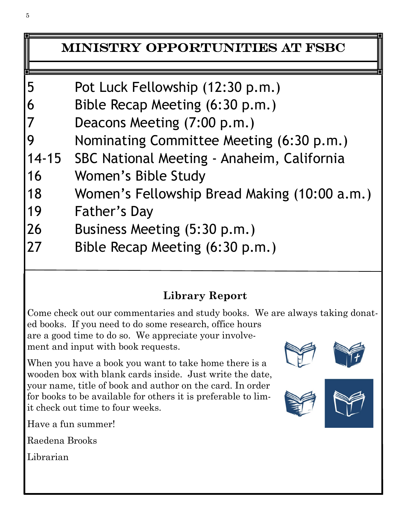## Ministry Opportunities at FSBC

| 5  | Pot Luck Fellowship (12:30 p.m.)                 |
|----|--------------------------------------------------|
| 6  | Bible Recap Meeting (6:30 p.m.)                  |
| 7  | Deacons Meeting (7:00 p.m.)                      |
| 9  | Nominating Committee Meeting (6:30 p.m.)         |
|    | 14-15 SBC National Meeting - Anaheim, California |
| 16 | Women's Bible Study                              |
| 18 | Women's Fellowship Bread Making (10:00 a.m.)     |
| 19 | <b>Father's Day</b>                              |
| 26 | Business Meeting (5:30 p.m.)                     |
| 27 | Bible Recap Meeting (6:30 p.m.)                  |

## **Library Report**

Come check out our commentaries and study books. We are always taking donated books. If you need to do some research, office hours are a good time to do so. We appreciate your involvement and input with book requests.

When you have a book you want to take home there is a wooden box with blank cards inside. Just write the date, your name, title of book and author on the card. In order for books to be available for others it is preferable to limit check out time to four weeks.







Have a fun summer!

Raedena Brooks

Librarian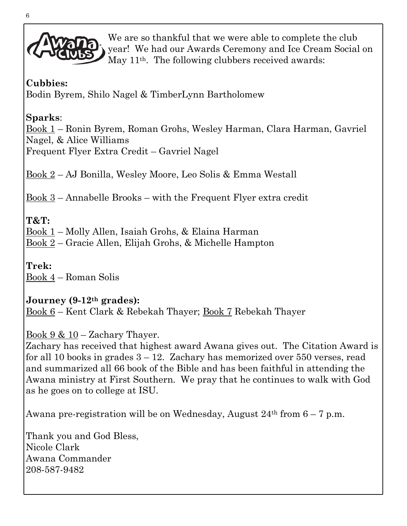

We are so thankful that we were able to complete the club year! We had our Awards Ceremony and Ice Cream Social on May 11<sup>th</sup>. The following clubbers received awards:

#### **Cubbies:**

Bodin Byrem, Shilo Nagel & TimberLynn Bartholomew

### **Sparks**:

Book 1 – Ronin Byrem, Roman Grohs, Wesley Harman, Clara Harman, Gavriel Nagel, & Alice Williams Frequent Flyer Extra Credit – Gavriel Nagel

Book 2 – AJ Bonilla, Wesley Moore, Leo Solis & Emma Westall

Book 3 – Annabelle Brooks – with the Frequent Flyer extra credit

### **T&T:**

Book 1 – Molly Allen, Isaiah Grohs, & Elaina Harman

Book 2 – Gracie Allen, Elijah Grohs, & Michelle Hampton

**Trek:** Book 4 – Roman Solis

#### **Journey (9-12th grades):**

Book 6 – Kent Clark & Rebekah Thayer; Book 7 Rebekah Thayer

Book  $9 \& 10 -$ Zachary Thayer.

Zachary has received that highest award Awana gives out. The Citation Award is for all 10 books in grades  $3 - 12$ . Zachary has memorized over 550 verses, read and summarized all 66 book of the Bible and has been faithful in attending the Awana ministry at First Southern. We pray that he continues to walk with God as he goes on to college at ISU.

Awana pre-registration will be on Wednesday, August  $24<sup>th</sup>$  from  $6-7$  p.m.

Thank you and God Bless, Nicole Clark Awana Commander 208-587-9482